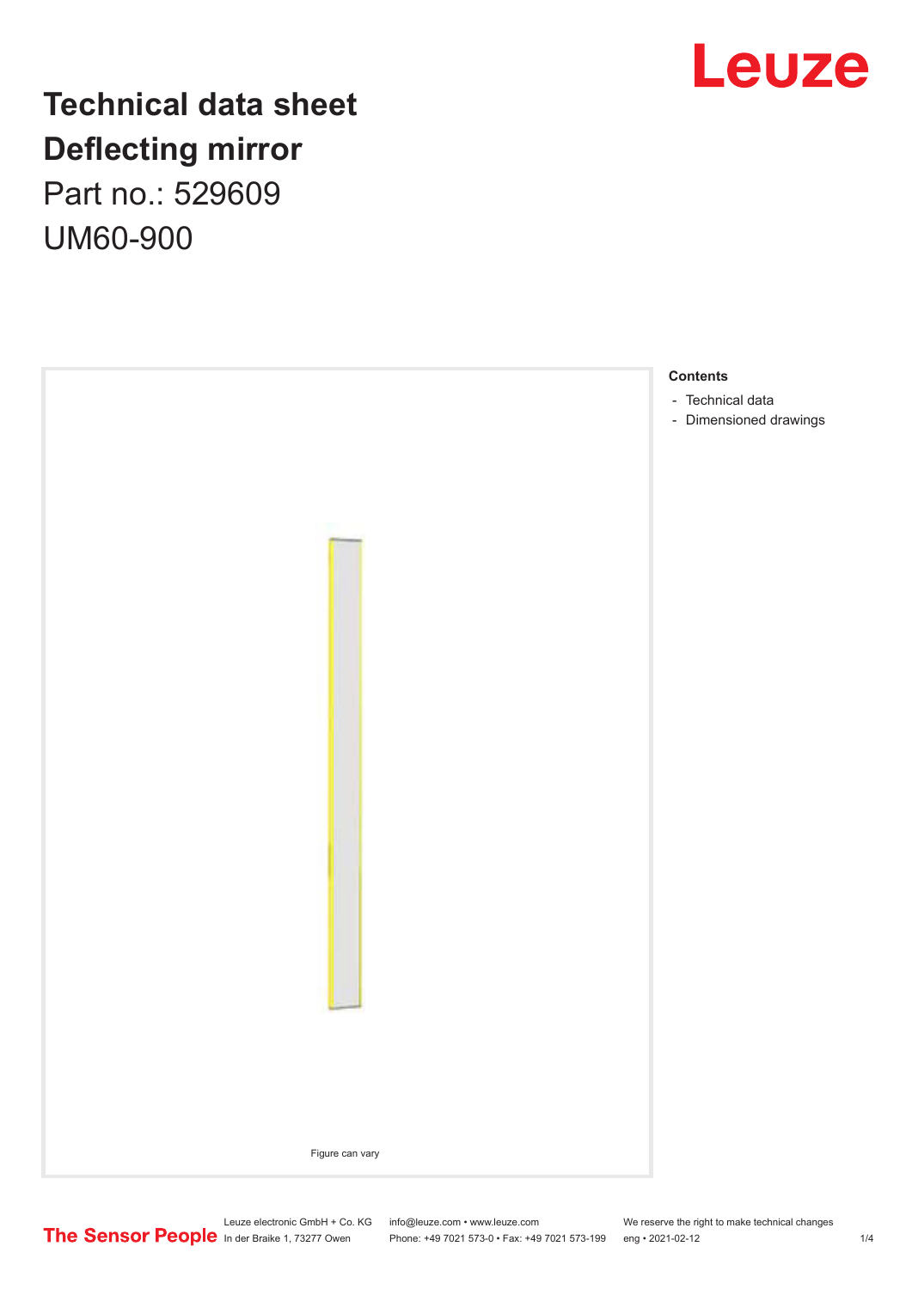

# **Technical data sheet Deflecting mirror** Part no.: 529609

UM60-900

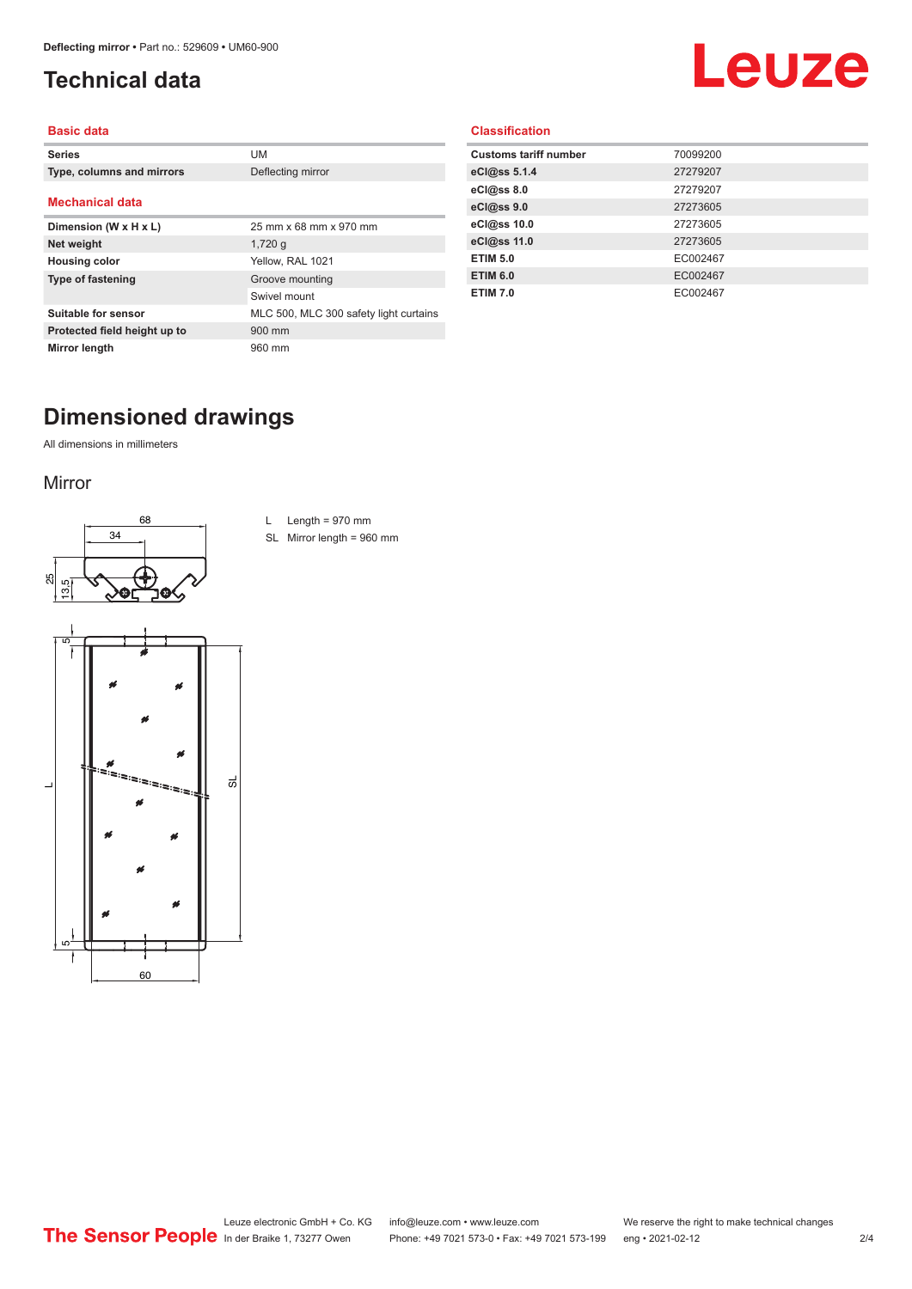## <span id="page-1-0"></span>**Technical data**

# Leuze

#### **Basic data**

| <b>Series</b>                | UM                                     |
|------------------------------|----------------------------------------|
| Type, columns and mirrors    | Deflecting mirror                      |
|                              |                                        |
| <b>Mechanical data</b>       |                                        |
| Dimension (W x H x L)        | 25 mm x 68 mm x 970 mm                 |
| Net weight                   | $1,720$ q                              |
| <b>Housing color</b>         | Yellow, RAL 1021                       |
| <b>Type of fastening</b>     | Groove mounting                        |
|                              | Swivel mount                           |
| Suitable for sensor          | MLC 500, MLC 300 safety light curtains |
| Protected field height up to | 900 mm                                 |
| Mirror length                | 960 mm                                 |

#### **Classification**

| <b>Customs tariff number</b> | 70099200 |
|------------------------------|----------|
| eCl@ss 5.1.4                 | 27279207 |
| eCl@ss 8.0                   | 27279207 |
| eCl@ss 9.0                   | 27273605 |
| eCl@ss 10.0                  | 27273605 |
| eCl@ss 11.0                  | 27273605 |
| <b>ETIM 5.0</b>              | EC002467 |
| <b>ETIM 6.0</b>              | EC002467 |
| <b>ETIM 7.0</b>              | EC002467 |
|                              |          |

# **Dimensioned drawings**

All dimensions in millimeters

#### Mirror





L Length =  $970$  mm

SL Mirror length = 960 mm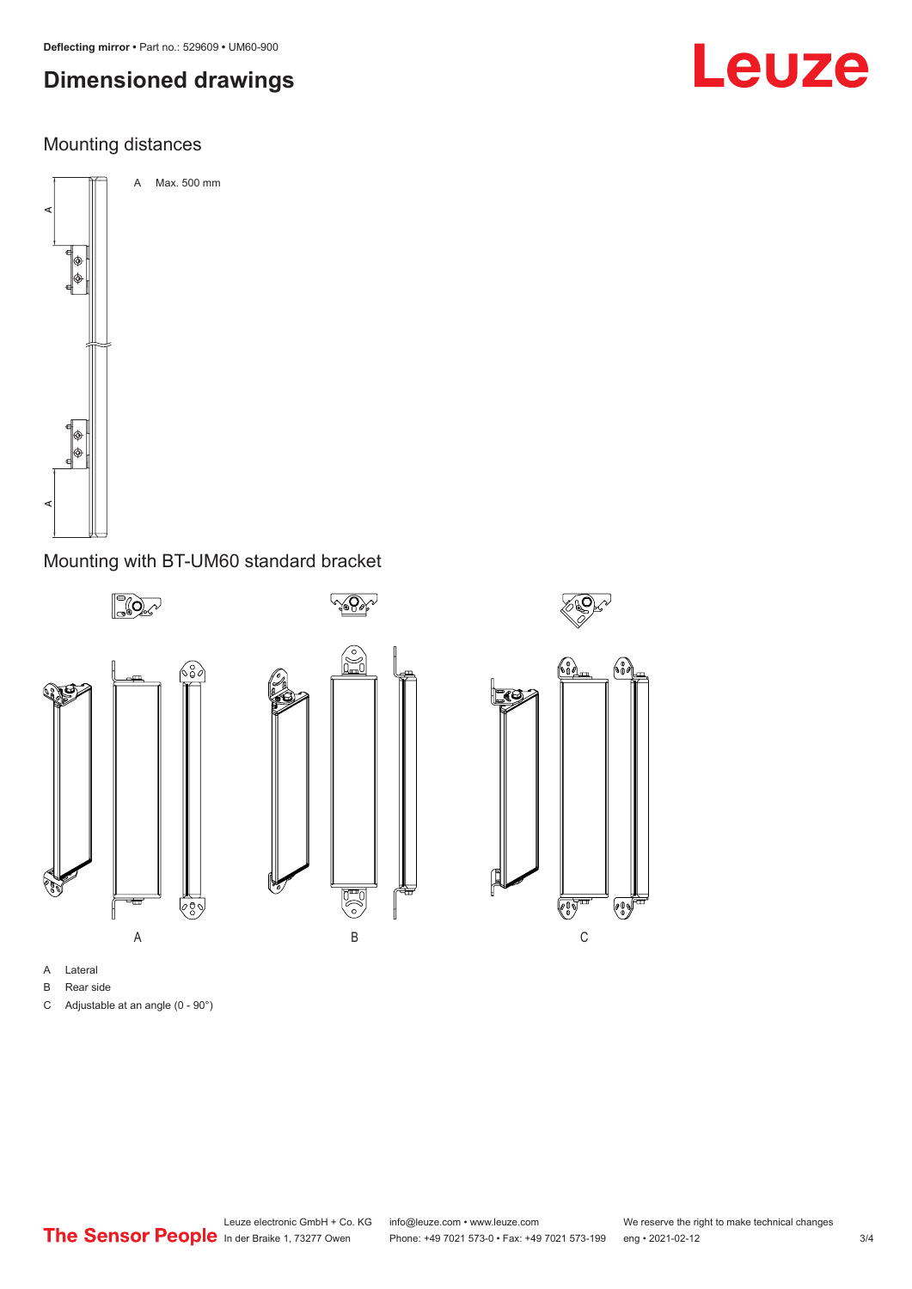# **Dimensioned drawings**

### Mounting distances



#### Mounting with BT-UM60 standard bracket



- B Rear side
- C Adjustable at an angle (0 90°)